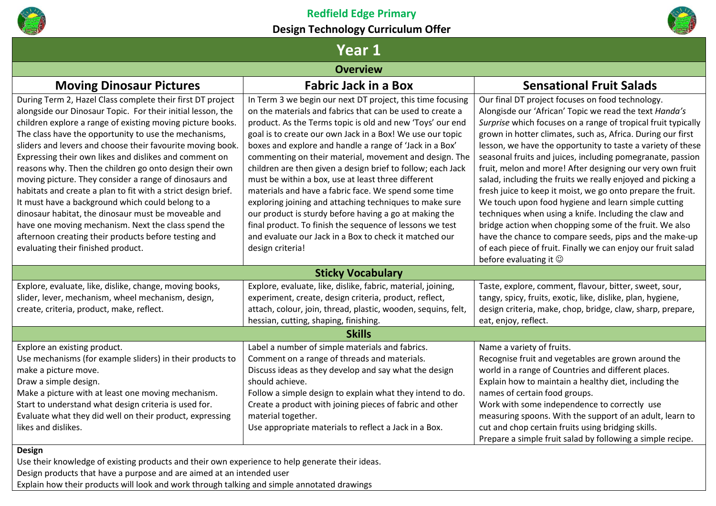



# **Year 1**

# **Overview**

| <b>Moving Dinosaur Pictures</b>                                                                                           | <b>Fabric Jack in a Box</b>                                                                                             | <b>Sensational Fruit Salads</b>                                                                                              |
|---------------------------------------------------------------------------------------------------------------------------|-------------------------------------------------------------------------------------------------------------------------|------------------------------------------------------------------------------------------------------------------------------|
| During Term 2, Hazel Class complete their first DT project<br>alongside our Dinosaur Topic. For their initial lesson, the | In Term 3 we begin our next DT project, this time focusing<br>on the materials and fabrics that can be used to create a | Our final DT project focuses on food technology.<br>Alongisde our 'African' Topic we read the text Handa's                   |
| children explore a range of existing moving picture books.<br>The class have the opportunity to use the mechanisms,       | product. As the Terms topic is old and new 'Toys' our end<br>goal is to create our own Jack in a Box! We use our topic  | Surprise which focuses on a range of tropical fruit typically<br>grown in hotter climates, such as, Africa. During our first |
| sliders and levers and choose their favourite moving book.<br>Expressing their own likes and dislikes and comment on      | boxes and explore and handle a range of 'Jack in a Box'<br>commenting on their material, movement and design. The       | lesson, we have the opportunity to taste a variety of these<br>seasonal fruits and juices, including pomegranate, passion    |
| reasons why. Then the children go onto design their own<br>moving picture. They consider a range of dinosaurs and         | children are then given a design brief to follow; each Jack<br>must be within a box, use at least three different       | fruit, melon and more! After designing our very own fruit<br>salad, including the fruits we really enjoyed and picking a     |
| habitats and create a plan to fit with a strict design brief.<br>It must have a background which could belong to a        | materials and have a fabric face. We spend some time<br>exploring joining and attaching techniques to make sure         | fresh juice to keep it moist, we go onto prepare the fruit.<br>We touch upon food hygiene and learn simple cutting           |
| dinosaur habitat, the dinosaur must be moveable and<br>have one moving mechanism. Next the class spend the                | our product is sturdy before having a go at making the<br>final product. To finish the sequence of lessons we test      | techniques when using a knife. Including the claw and<br>bridge action when chopping some of the fruit. We also              |
| afternoon creating their products before testing and<br>evaluating their finished product.                                | and evaluate our Jack in a Box to check it matched our<br>design criteria!                                              | have the chance to compare seeds, pips and the make-up<br>of each piece of fruit. Finally we can enjoy our fruit salad       |
|                                                                                                                           |                                                                                                                         | before evaluating it $\odot$                                                                                                 |
|                                                                                                                           | <b>Sticky Vocabulary</b>                                                                                                |                                                                                                                              |
| Explore, evaluate, like, dislike, change, moving books,                                                                   | Explore, evaluate, like, dislike, fabric, material, joining,                                                            | Taste, explore, comment, flavour, bitter, sweet, sour,                                                                       |
| slider, lever, mechanism, wheel mechanism, design,                                                                        | experiment, create, design criteria, product, reflect,                                                                  | tangy, spicy, fruits, exotic, like, dislike, plan, hygiene,                                                                  |
| create, criteria, product, make, reflect.                                                                                 | attach, colour, join, thread, plastic, wooden, sequins, felt,                                                           | design criteria, make, chop, bridge, claw, sharp, prepare,                                                                   |
|                                                                                                                           | hessian, cutting, shaping, finishing.                                                                                   | eat, enjoy, reflect.                                                                                                         |
|                                                                                                                           | <b>Skills</b>                                                                                                           |                                                                                                                              |
| Explore an existing product.                                                                                              | Label a number of simple materials and fabrics.                                                                         | Name a variety of fruits.                                                                                                    |
| Use mechanisms (for example sliders) in their products to                                                                 | Comment on a range of threads and materials.                                                                            | Recognise fruit and vegetables are grown around the                                                                          |
| make a picture move.                                                                                                      | Discuss ideas as they develop and say what the design                                                                   | world in a range of Countries and different places.                                                                          |
| Draw a simple design.                                                                                                     | should achieve.                                                                                                         | Explain how to maintain a healthy diet, including the                                                                        |
| Make a picture with at least one moving mechanism.                                                                        | Follow a simple design to explain what they intend to do.                                                               | names of certain food groups.                                                                                                |
| Start to understand what design criteria is used for.                                                                     | Create a product with joining pieces of fabric and other                                                                | Work with some independence to correctly use                                                                                 |
| Evaluate what they did well on their product, expressing                                                                  | material together.                                                                                                      | measuring spoons. With the support of an adult, learn to                                                                     |
| likes and dislikes.                                                                                                       | Use appropriate materials to reflect a Jack in a Box.                                                                   | cut and chop certain fruits using bridging skills.                                                                           |
|                                                                                                                           |                                                                                                                         | Prepare a simple fruit salad by following a simple recipe.                                                                   |

# **Design**

Use their knowledge of existing products and their own experience to help generate their ideas.

Design products that have a purpose and are aimed at an intended user

Explain how their products will look and work through talking and simple annotated drawings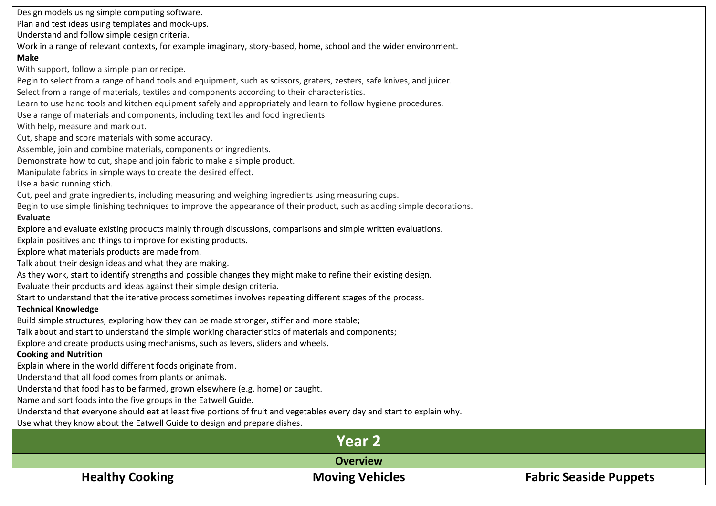Design models using simple computing software.

Plan and test ideas using templates and mock-ups.

Understand and follow simple design criteria.

Work in a range of relevant contexts, for example imaginary, story-based, home, school and the wider environment.

### **Make**

With support, follow a simple plan or recipe.

Begin to select from a range of hand tools and equipment, such as scissors, graters, zesters, safe knives, and juicer.

Select from a range of materials, textiles and components according to their characteristics.

Learn to use hand tools and kitchen equipment safely and appropriately and learn to follow hygiene procedures.

Use a range of materials and components, including textiles and food ingredients.

With help, measure and mark out.

Cut, shape and score materials with some accuracy.

Assemble, join and combine materials, components or ingredients.

Demonstrate how to cut, shape and join fabric to make a simple product.

Manipulate fabrics in simple ways to create the desired effect.

Use a basic running stich.

Cut, peel and grate ingredients, including measuring and weighing ingredients using measuring cups.

Begin to use simple finishing techniques to improve the appearance of their product, such as adding simple decorations.

# **Evaluate**

Explore and evaluate existing products mainly through discussions, comparisons and simple written evaluations.

Explain positives and things to improve for existing products.

Explore what materials products are made from.

Talk about their design ideas and what they are making.

As they work, start to identify strengths and possible changes they might make to refine their existing design.

Evaluate their products and ideas against their simple design criteria.

Start to understand that the iterative process sometimes involves repeating different stages of the process.

### **Technical Knowledge**

Build simple structures, exploring how they can be made stronger, stiffer and more stable;

Talk about and start to understand the simple working characteristics of materials and components;

Explore and create products using mechanisms, such as levers, sliders and wheels.

### **Cooking and Nutrition**

Explain where in the world different foods originate from.

Understand that all food comes from plants or animals.

Understand that food has to be farmed, grown elsewhere (e.g. home) or caught.

Name and sort foods into the five groups in the Eatwell Guide.

Understand that everyone should eat at least five portions of fruit and vegetables every day and start to explain why.

Use what they know about the Eatwell Guide to design and prepare dishes.

|                        | Year 2                 |                               |
|------------------------|------------------------|-------------------------------|
|                        | <b>Overview</b>        |                               |
| <b>Healthy Cooking</b> | <b>Moving Vehicles</b> | <b>Fabric Seaside Puppets</b> |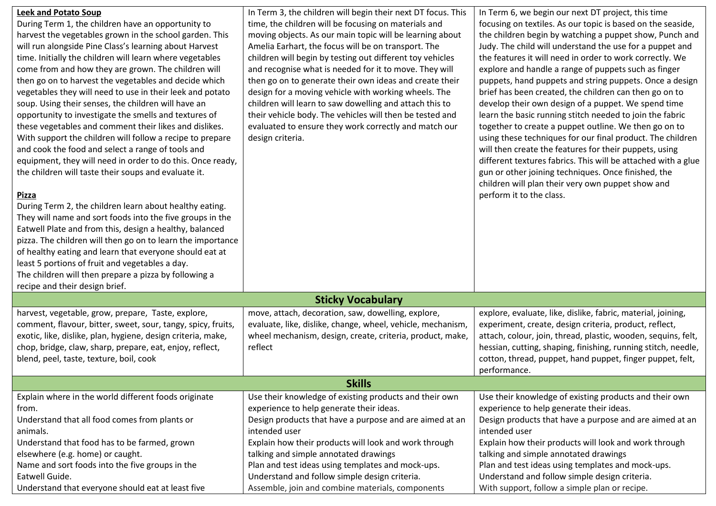| <b>Leek and Potato Soup</b><br>During Term 1, the children have an opportunity to<br>harvest the vegetables grown in the school garden. This<br>will run alongside Pine Class's learning about Harvest<br>time. Initially the children will learn where vegetables<br>come from and how they are grown. The children will<br>then go on to harvest the vegetables and decide which<br>vegetables they will need to use in their leek and potato<br>soup. Using their senses, the children will have an<br>opportunity to investigate the smells and textures of<br>these vegetables and comment their likes and dislikes.<br>With support the children will follow a recipe to prepare<br>and cook the food and select a range of tools and<br>equipment, they will need in order to do this. Once ready,<br>the children will taste their soups and evaluate it.<br><b>Pizza</b><br>During Term 2, the children learn about healthy eating. | In Term 3, the children will begin their next DT focus. This<br>time, the children will be focusing on materials and<br>moving objects. As our main topic will be learning about<br>Amelia Earhart, the focus will be on transport. The<br>children will begin by testing out different toy vehicles<br>and recognise what is needed for it to move. They will<br>then go on to generate their own ideas and create their<br>design for a moving vehicle with working wheels. The<br>children will learn to saw dowelling and attach this to<br>their vehicle body. The vehicles will then be tested and<br>evaluated to ensure they work correctly and match our<br>design criteria. | In Term 6, we begin our next DT project, this time<br>focusing on textiles. As our topic is based on the seaside,<br>the children begin by watching a puppet show, Punch and<br>Judy. The child will understand the use for a puppet and<br>the features it will need in order to work correctly. We<br>explore and handle a range of puppets such as finger<br>puppets, hand puppets and string puppets. Once a design<br>brief has been created, the children can then go on to<br>develop their own design of a puppet. We spend time<br>learn the basic running stitch needed to join the fabric<br>together to create a puppet outline. We then go on to<br>using these techniques for our final product. The children<br>will then create the features for their puppets, using<br>different textures fabrics. This will be attached with a glue<br>gun or other joining techniques. Once finished, the<br>children will plan their very own puppet show and<br>perform it to the class. |
|----------------------------------------------------------------------------------------------------------------------------------------------------------------------------------------------------------------------------------------------------------------------------------------------------------------------------------------------------------------------------------------------------------------------------------------------------------------------------------------------------------------------------------------------------------------------------------------------------------------------------------------------------------------------------------------------------------------------------------------------------------------------------------------------------------------------------------------------------------------------------------------------------------------------------------------------|---------------------------------------------------------------------------------------------------------------------------------------------------------------------------------------------------------------------------------------------------------------------------------------------------------------------------------------------------------------------------------------------------------------------------------------------------------------------------------------------------------------------------------------------------------------------------------------------------------------------------------------------------------------------------------------|------------------------------------------------------------------------------------------------------------------------------------------------------------------------------------------------------------------------------------------------------------------------------------------------------------------------------------------------------------------------------------------------------------------------------------------------------------------------------------------------------------------------------------------------------------------------------------------------------------------------------------------------------------------------------------------------------------------------------------------------------------------------------------------------------------------------------------------------------------------------------------------------------------------------------------------------------------------------------------------------|
| They will name and sort foods into the five groups in the<br>Eatwell Plate and from this, design a healthy, balanced<br>pizza. The children will then go on to learn the importance<br>of healthy eating and learn that everyone should eat at<br>least 5 portions of fruit and vegetables a day.<br>The children will then prepare a pizza by following a<br>recipe and their design brief.                                                                                                                                                                                                                                                                                                                                                                                                                                                                                                                                                 |                                                                                                                                                                                                                                                                                                                                                                                                                                                                                                                                                                                                                                                                                       |                                                                                                                                                                                                                                                                                                                                                                                                                                                                                                                                                                                                                                                                                                                                                                                                                                                                                                                                                                                                |
|                                                                                                                                                                                                                                                                                                                                                                                                                                                                                                                                                                                                                                                                                                                                                                                                                                                                                                                                              | <b>Sticky Vocabulary</b>                                                                                                                                                                                                                                                                                                                                                                                                                                                                                                                                                                                                                                                              |                                                                                                                                                                                                                                                                                                                                                                                                                                                                                                                                                                                                                                                                                                                                                                                                                                                                                                                                                                                                |
| harvest, vegetable, grow, prepare, Taste, explore,<br>comment, flavour, bitter, sweet, sour, tangy, spicy, fruits,<br>exotic, like, dislike, plan, hygiene, design criteria, make,<br>chop, bridge, claw, sharp, prepare, eat, enjoy, reflect,<br>blend, peel, taste, texture, boil, cook                                                                                                                                                                                                                                                                                                                                                                                                                                                                                                                                                                                                                                                    | move, attach, decoration, saw, dowelling, explore,<br>evaluate, like, dislike, change, wheel, vehicle, mechanism,<br>wheel mechanism, design, create, criteria, product, make,<br>reflect                                                                                                                                                                                                                                                                                                                                                                                                                                                                                             | explore, evaluate, like, dislike, fabric, material, joining,<br>experiment, create, design criteria, product, reflect,<br>attach, colour, join, thread, plastic, wooden, sequins, felt,<br>hessian, cutting, shaping, finishing, running stitch, needle,<br>cotton, thread, puppet, hand puppet, finger puppet, felt,<br>performance.                                                                                                                                                                                                                                                                                                                                                                                                                                                                                                                                                                                                                                                          |
|                                                                                                                                                                                                                                                                                                                                                                                                                                                                                                                                                                                                                                                                                                                                                                                                                                                                                                                                              | <b>Skills</b>                                                                                                                                                                                                                                                                                                                                                                                                                                                                                                                                                                                                                                                                         |                                                                                                                                                                                                                                                                                                                                                                                                                                                                                                                                                                                                                                                                                                                                                                                                                                                                                                                                                                                                |
| Explain where in the world different foods originate<br>from.<br>Understand that all food comes from plants or<br>animals.<br>Understand that food has to be farmed, grown                                                                                                                                                                                                                                                                                                                                                                                                                                                                                                                                                                                                                                                                                                                                                                   | Use their knowledge of existing products and their own<br>experience to help generate their ideas.<br>Design products that have a purpose and are aimed at an<br>intended user<br>Explain how their products will look and work through                                                                                                                                                                                                                                                                                                                                                                                                                                               | Use their knowledge of existing products and their own<br>experience to help generate their ideas.<br>Design products that have a purpose and are aimed at an<br>intended user<br>Explain how their products will look and work through                                                                                                                                                                                                                                                                                                                                                                                                                                                                                                                                                                                                                                                                                                                                                        |
| elsewhere (e.g. home) or caught.<br>Name and sort foods into the five groups in the<br>Eatwell Guide.<br>Understand that everyone should eat at least five                                                                                                                                                                                                                                                                                                                                                                                                                                                                                                                                                                                                                                                                                                                                                                                   | talking and simple annotated drawings<br>Plan and test ideas using templates and mock-ups.<br>Understand and follow simple design criteria.<br>Assemble, join and combine materials, components                                                                                                                                                                                                                                                                                                                                                                                                                                                                                       | talking and simple annotated drawings<br>Plan and test ideas using templates and mock-ups.<br>Understand and follow simple design criteria.<br>With support, follow a simple plan or recipe.                                                                                                                                                                                                                                                                                                                                                                                                                                                                                                                                                                                                                                                                                                                                                                                                   |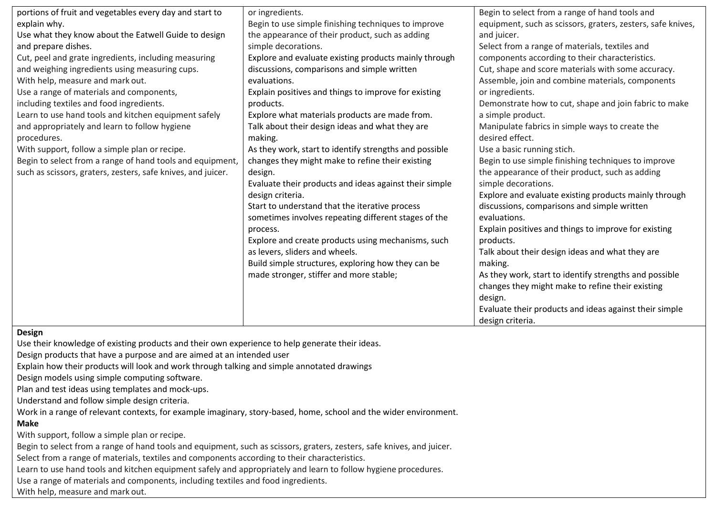| portions of fruit and vegetables every day and start to      | or ingredients.                                        | Begin to select from a range of hand tools and              |
|--------------------------------------------------------------|--------------------------------------------------------|-------------------------------------------------------------|
| explain why.                                                 | Begin to use simple finishing techniques to improve    | equipment, such as scissors, graters, zesters, safe knives, |
| Use what they know about the Eatwell Guide to design         | the appearance of their product, such as adding        | and juicer.                                                 |
| and prepare dishes.                                          | simple decorations.                                    | Select from a range of materials, textiles and              |
| Cut, peel and grate ingredients, including measuring         | Explore and evaluate existing products mainly through  | components according to their characteristics.              |
| and weighing ingredients using measuring cups.               | discussions, comparisons and simple written            | Cut, shape and score materials with some accuracy.          |
| With help, measure and mark out.                             | evaluations.                                           | Assemble, join and combine materials, components            |
| Use a range of materials and components,                     | Explain positives and things to improve for existing   | or ingredients.                                             |
| including textiles and food ingredients.                     | products.                                              | Demonstrate how to cut, shape and join fabric to make       |
| Learn to use hand tools and kitchen equipment safely         | Explore what materials products are made from.         | a simple product.                                           |
| and appropriately and learn to follow hygiene                | Talk about their design ideas and what they are        | Manipulate fabrics in simple ways to create the             |
| procedures.                                                  | making.                                                | desired effect.                                             |
| With support, follow a simple plan or recipe.                | As they work, start to identify strengths and possible | Use a basic running stich.                                  |
| Begin to select from a range of hand tools and equipment,    | changes they might make to refine their existing       | Begin to use simple finishing techniques to improve         |
| such as scissors, graters, zesters, safe knives, and juicer. | design.                                                | the appearance of their product, such as adding             |
|                                                              | Evaluate their products and ideas against their simple | simple decorations.                                         |
|                                                              | design criteria.                                       | Explore and evaluate existing products mainly through       |
|                                                              | Start to understand that the iterative process         | discussions, comparisons and simple written                 |
|                                                              | sometimes involves repeating different stages of the   | evaluations.                                                |
|                                                              | process.                                               | Explain positives and things to improve for existing        |
|                                                              | Explore and create products using mechanisms, such     | products.                                                   |
|                                                              | as levers, sliders and wheels.                         | Talk about their design ideas and what they are             |
|                                                              | Build simple structures, exploring how they can be     | making.                                                     |
|                                                              | made stronger, stiffer and more stable;                | As they work, start to identify strengths and possible      |
|                                                              |                                                        | changes they might make to refine their existing            |
|                                                              |                                                        | design.                                                     |
|                                                              |                                                        | Evaluate their products and ideas against their simple      |
|                                                              |                                                        | design criteria.                                            |

#### **Design**

Use their knowledge of existing products and their own experience to help generate their ideas.

Design products that have a purpose and are aimed at an intended user

Explain how their products will look and work through talking and simple annotated drawings

Design models using simple computing software.

Plan and test ideas using templates and mock-ups.

Understand and follow simple design criteria.

Work in a range of relevant contexts, for example imaginary, story-based, home, school and the wider environment.

# **Make**

With support, follow a simple plan or recipe.

Begin to select from a range of hand tools and equipment, such as scissors, graters, zesters, safe knives, and juicer.

Select from a range of materials, textiles and components according to their characteristics.

Learn to use hand tools and kitchen equipment safely and appropriately and learn to follow hygiene procedures.

Use a range of materials and components, including textiles and food ingredients.

With help, measure and mark out.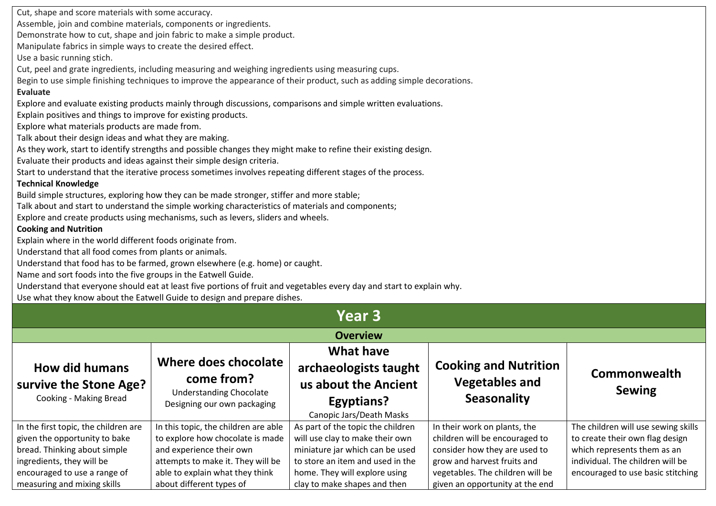Cut, shape and score materials with some accuracy. Assemble, join and combine materials, components or ingredients. Demonstrate how to cut, shape and join fabric to make a simple product. Manipulate fabrics in simple ways to create the desired effect. Use a basic running stich. Cut, peel and grate ingredients, including measuring and weighing ingredients using measuring cups. Begin to use simple finishing techniques to improve the appearance of their product, such as adding simple decorations. **Evaluate** Explore and evaluate existing products mainly through discussions, comparisons and simple written evaluations. Explain positives and things to improve for existing products. Explore what materials products are made from. Talk about their design ideas and what they are making. As they work, start to identify strengths and possible changes they might make to refine their existing design. Evaluate their products and ideas against their simple design criteria. Start to understand that the iterative process sometimes involves repeating different stages of the process. **Technical Knowledge** Build simple structures, exploring how they can be made stronger, stiffer and more stable; Talk about and start to understand the simple working characteristics of materials and components; Explore and create products using mechanisms, such as levers, sliders and wheels. **Cooking and Nutrition** Explain where in the world different foods originate from. Understand that all food comes from plants or animals. Understand that food has to be farmed, grown elsewhere (e.g. home) or caught. Name and sort foods into the five groups in the Eatwell Guide. Understand that everyone should eat at least five portions of fruit and vegetables every day and start to explain why.

Use what they know about the Eatwell Guide to design and prepare dishes.

| Year 3                                                                                                                                                             |                                                                                                                                                                              |                                                                                                                                                                              |                                                                                                                                                                    |                                                                                                                                                                                |
|--------------------------------------------------------------------------------------------------------------------------------------------------------------------|------------------------------------------------------------------------------------------------------------------------------------------------------------------------------|------------------------------------------------------------------------------------------------------------------------------------------------------------------------------|--------------------------------------------------------------------------------------------------------------------------------------------------------------------|--------------------------------------------------------------------------------------------------------------------------------------------------------------------------------|
|                                                                                                                                                                    | <b>Overview</b>                                                                                                                                                              |                                                                                                                                                                              |                                                                                                                                                                    |                                                                                                                                                                                |
| <b>How did humans</b><br>survive the Stone Age?<br>Cooking - Making Bread                                                                                          | Where does chocolate<br>come from?<br><b>Understanding Chocolate</b><br>Designing our own packaging                                                                          | <b>What have</b><br>archaeologists taught<br>us about the Ancient<br>Egyptians?<br>Canopic Jars/Death Masks                                                                  | <b>Cooking and Nutrition</b><br><b>Vegetables and</b><br><b>Seasonality</b>                                                                                        | Commonwealth<br><b>Sewing</b>                                                                                                                                                  |
| In the first topic, the children are<br>given the opportunity to bake<br>bread. Thinking about simple<br>ingredients, they will be<br>encouraged to use a range of | In this topic, the children are able<br>to explore how chocolate is made<br>and experience their own<br>attempts to make it. They will be<br>able to explain what they think | As part of the topic the children<br>will use clay to make their own<br>miniature jar which can be used<br>to store an item and used in the<br>home. They will explore using | In their work on plants, the<br>children will be encouraged to<br>consider how they are used to<br>grow and harvest fruits and<br>vegetables. The children will be | The children will use sewing skills<br>to create their own flag design<br>which represents them as an<br>individual. The children will be<br>encouraged to use basic stitching |
| measuring and mixing skills                                                                                                                                        | about different types of                                                                                                                                                     | clay to make shapes and then                                                                                                                                                 | given an opportunity at the end                                                                                                                                    |                                                                                                                                                                                |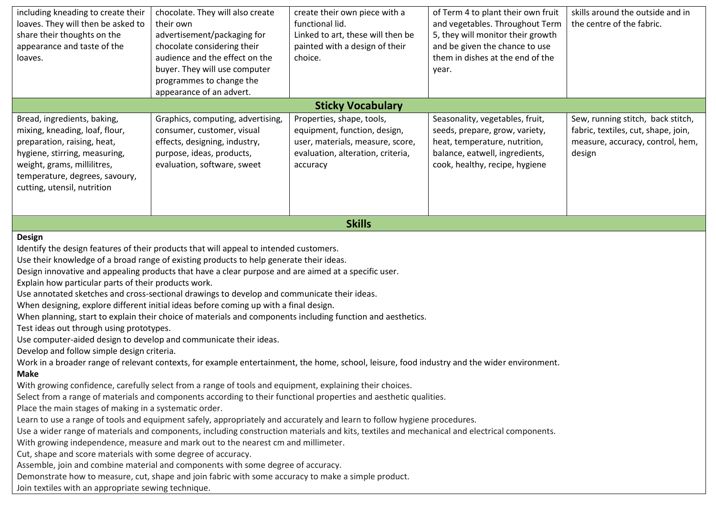| including kneading to create their<br>loaves. They will then be asked to<br>share their thoughts on the<br>appearance and taste of the<br>loaves.                                                                                                                                                                                                                                                                                                                                                                                                                                                                                                                                                                                                                                                                                                                                                                                                                                                                                                                                                                                                                                                                                                                                                                                                                                                                                                                                                                                                                                                                                                                                                                                                                                                                                                                                                                                                                                     | chocolate. They will also create<br>their own<br>advertisement/packaging for<br>chocolate considering their<br>audience and the effect on the<br>buyer. They will use computer<br>programmes to change the<br>appearance of an advert. | create their own piece with a<br>functional lid.<br>Linked to art, these will then be<br>painted with a design of their<br>choice.             | of Term 4 to plant their own fruit<br>and vegetables. Throughout Term<br>5, they will monitor their growth<br>and be given the chance to use<br>them in dishes at the end of the<br>year. | skills around the outside and in<br>the centre of the fabric.                                                          |
|---------------------------------------------------------------------------------------------------------------------------------------------------------------------------------------------------------------------------------------------------------------------------------------------------------------------------------------------------------------------------------------------------------------------------------------------------------------------------------------------------------------------------------------------------------------------------------------------------------------------------------------------------------------------------------------------------------------------------------------------------------------------------------------------------------------------------------------------------------------------------------------------------------------------------------------------------------------------------------------------------------------------------------------------------------------------------------------------------------------------------------------------------------------------------------------------------------------------------------------------------------------------------------------------------------------------------------------------------------------------------------------------------------------------------------------------------------------------------------------------------------------------------------------------------------------------------------------------------------------------------------------------------------------------------------------------------------------------------------------------------------------------------------------------------------------------------------------------------------------------------------------------------------------------------------------------------------------------------------------|----------------------------------------------------------------------------------------------------------------------------------------------------------------------------------------------------------------------------------------|------------------------------------------------------------------------------------------------------------------------------------------------|-------------------------------------------------------------------------------------------------------------------------------------------------------------------------------------------|------------------------------------------------------------------------------------------------------------------------|
|                                                                                                                                                                                                                                                                                                                                                                                                                                                                                                                                                                                                                                                                                                                                                                                                                                                                                                                                                                                                                                                                                                                                                                                                                                                                                                                                                                                                                                                                                                                                                                                                                                                                                                                                                                                                                                                                                                                                                                                       |                                                                                                                                                                                                                                        | <b>Sticky Vocabulary</b>                                                                                                                       |                                                                                                                                                                                           |                                                                                                                        |
| Bread, ingredients, baking,<br>mixing, kneading, loaf, flour,<br>preparation, raising, heat,<br>hygiene, stirring, measuring,<br>weight, grams, millilitres,<br>temperature, degrees, savoury,<br>cutting, utensil, nutrition                                                                                                                                                                                                                                                                                                                                                                                                                                                                                                                                                                                                                                                                                                                                                                                                                                                                                                                                                                                                                                                                                                                                                                                                                                                                                                                                                                                                                                                                                                                                                                                                                                                                                                                                                         | Graphics, computing, advertising,<br>consumer, customer, visual<br>effects, designing, industry,<br>purpose, ideas, products,<br>evaluation, software, sweet                                                                           | Properties, shape, tools,<br>equipment, function, design,<br>user, materials, measure, score,<br>evaluation, alteration, criteria,<br>accuracy | Seasonality, vegetables, fruit,<br>seeds, prepare, grow, variety,<br>heat, temperature, nutrition,<br>balance, eatwell, ingredients,<br>cook, healthy, recipe, hygiene                    | Sew, running stitch, back stitch,<br>fabric, textiles, cut, shape, join,<br>measure, accuracy, control, hem,<br>design |
|                                                                                                                                                                                                                                                                                                                                                                                                                                                                                                                                                                                                                                                                                                                                                                                                                                                                                                                                                                                                                                                                                                                                                                                                                                                                                                                                                                                                                                                                                                                                                                                                                                                                                                                                                                                                                                                                                                                                                                                       |                                                                                                                                                                                                                                        | <b>Skills</b>                                                                                                                                  |                                                                                                                                                                                           |                                                                                                                        |
| <b>Design</b><br>Identify the design features of their products that will appeal to intended customers.<br>Use their knowledge of a broad range of existing products to help generate their ideas.<br>Design innovative and appealing products that have a clear purpose and are aimed at a specific user.<br>Explain how particular parts of their products work.<br>Use annotated sketches and cross-sectional drawings to develop and communicate their ideas.<br>When designing, explore different initial ideas before coming up with a final design.<br>When planning, start to explain their choice of materials and components including function and aesthetics.<br>Test ideas out through using prototypes.<br>Use computer-aided design to develop and communicate their ideas.<br>Develop and follow simple design criteria.<br>Work in a broader range of relevant contexts, for example entertainment, the home, school, leisure, food industry and the wider environment.<br><b>Make</b><br>With growing confidence, carefully select from a range of tools and equipment, explaining their choices.<br>Select from a range of materials and components according to their functional properties and aesthetic qualities.<br>Place the main stages of making in a systematic order.<br>Learn to use a range of tools and equipment safely, appropriately and accurately and learn to follow hygiene procedures.<br>Use a wider range of materials and components, including construction materials and kits, textiles and mechanical and electrical components.<br>With growing independence, measure and mark out to the nearest cm and millimeter.<br>Cut, shape and score materials with some degree of accuracy.<br>Assemble, join and combine material and components with some degree of accuracy.<br>Demonstrate how to measure, cut, shape and join fabric with some accuracy to make a simple product.<br>Join textiles with an appropriate sewing technique. |                                                                                                                                                                                                                                        |                                                                                                                                                |                                                                                                                                                                                           |                                                                                                                        |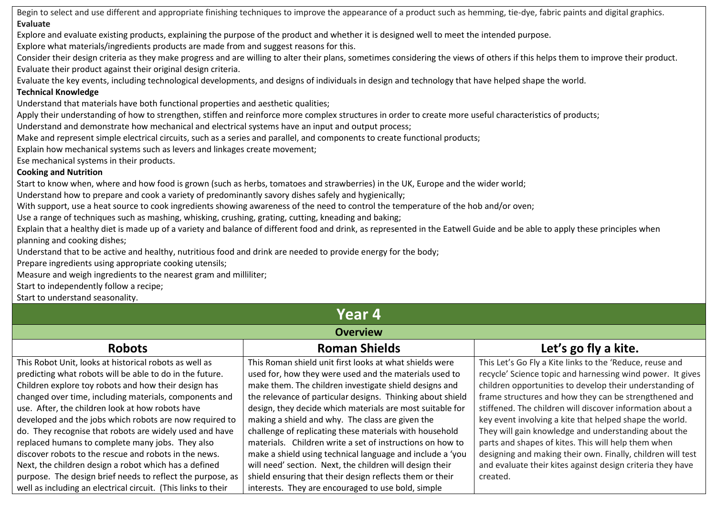Begin to select and use different and appropriate finishing techniques to improve the appearance of a product such as hemming, tie-dye, fabric paints and digital graphics. **Evaluate**

Explore and evaluate existing products, explaining the purpose of the product and whether it is designed well to meet the intended purpose.

Explore what materials/ingredients products are made from and suggest reasons for this.

Consider their design criteria as they make progress and are willing to alter their plans, sometimes considering the views of others if this helps them to improve their product. Evaluate their product against their original design criteria.

Evaluate the key events, including technological developments, and designs of individuals in design and technology that have helped shape the world.

# **Technical Knowledge**

Understand that materials have both functional properties and aesthetic qualities;

Apply their understanding of how to strengthen, stiffen and reinforce more complex structures in order to create more useful characteristics of products;

Understand and demonstrate how mechanical and electrical systems have an input and output process;

Make and represent simple electrical circuits, such as a series and parallel, and components to create functional products;

Explain how mechanical systems such as levers and linkages create movement;

Ese mechanical systems in their products.

# **Cooking and Nutrition**

Start to know when, where and how food is grown (such as herbs, tomatoes and strawberries) in the UK, Europe and the wider world;

Understand how to prepare and cook a variety of predominantly savory dishes safely and hygienically;

With support, use a heat source to cook ingredients showing awareness of the need to control the temperature of the hob and/or oven;

Use a range of techniques such as mashing, whisking, crushing, grating, cutting, kneading and baking;

Explain that a healthy diet is made up of a variety and balance of different food and drink, as represented in the Eatwell Guide and be able to apply these principles when planning and cooking dishes;

Understand that to be active and healthy, nutritious food and drink are needed to provide energy for the body;

Prepare ingredients using appropriate cooking utensils;

Measure and weigh ingredients to the nearest gram and milliliter;

Start to independently follow a recipe;

Start to understand seasonality.

# **Year 4**

# **Overview**

| <b>Robots</b>                                                 | <b>Roman Shields</b>                                       | Let's go fly a kite.                                        |
|---------------------------------------------------------------|------------------------------------------------------------|-------------------------------------------------------------|
| This Robot Unit, looks at historical robots as well as        | This Roman shield unit first looks at what shields were    | This Let's Go Fly a Kite links to the 'Reduce, reuse and    |
| predicting what robots will be able to do in the future.      | used for, how they were used and the materials used to     | recycle' Science topic and harnessing wind power. It gives  |
| Children explore toy robots and how their design has          | make them. The children investigate shield designs and     | children opportunities to develop their understanding of    |
| changed over time, including materials, components and        | the relevance of particular designs. Thinking about shield | frame structures and how they can be strengthened and       |
| use. After, the children look at how robots have              | design, they decide which materials are most suitable for  | stiffened. The children will discover information about a   |
| developed and the jobs which robots are now required to       | making a shield and why. The class are given the           | key event involving a kite that helped shape the world.     |
| do. They recognise that robots are widely used and have       | challenge of replicating these materials with household    | They will gain knowledge and understanding about the        |
| replaced humans to complete many jobs. They also              | materials. Children write a set of instructions on how to  | parts and shapes of kites. This will help them when         |
| discover robots to the rescue and robots in the news.         | make a shield using technical language and include a 'you  | designing and making their own. Finally, children will test |
| Next, the children design a robot which has a defined         | will need' section. Next, the children will design their   | and evaluate their kites against design criteria they have  |
| purpose. The design brief needs to reflect the purpose, as    | shield ensuring that their design reflects them or their   | created.                                                    |
| well as including an electrical circuit. (This links to their | interests. They are encouraged to use bold, simple         |                                                             |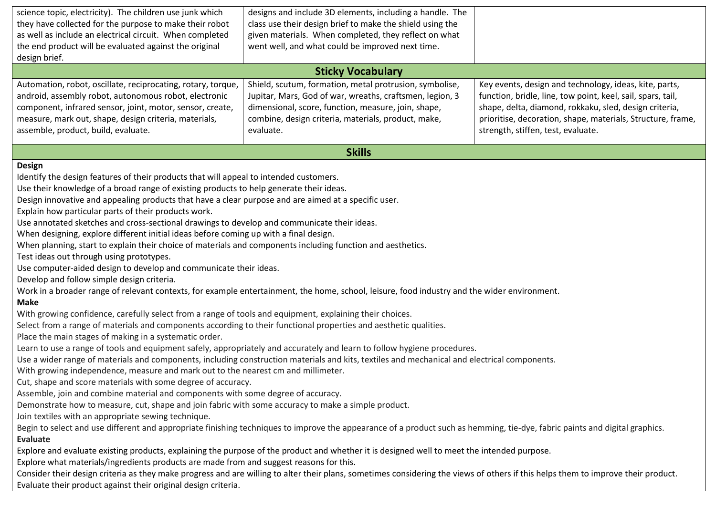| science topic, electricity). The children use junk which<br>they have collected for the purpose to make their robot<br>as well as include an electrical circuit. When completed<br>the end product will be evaluated against the original<br>design brief.                                                                                                                                                                                                                                                                                                                                                                                                                                                                                                                                                                                                                                                                                                                                                                                                                                                                                                                                                                                                                                                                                                                                                                                                                                                                                                                                                                                                                                                                                                                                                                                                                                                                                                                                                                                                                                                                                                                                                                                                                                                                                                                                                                                                                                                                                                                                                             | designs and include 3D elements, including a handle. The<br>class use their design brief to make the shield using the<br>given materials. When completed, they reflect on what<br>went well, and what could be improved next time.<br><b>Sticky Vocabulary</b> |                                                                                                                                                                                                                                                                                      |
|------------------------------------------------------------------------------------------------------------------------------------------------------------------------------------------------------------------------------------------------------------------------------------------------------------------------------------------------------------------------------------------------------------------------------------------------------------------------------------------------------------------------------------------------------------------------------------------------------------------------------------------------------------------------------------------------------------------------------------------------------------------------------------------------------------------------------------------------------------------------------------------------------------------------------------------------------------------------------------------------------------------------------------------------------------------------------------------------------------------------------------------------------------------------------------------------------------------------------------------------------------------------------------------------------------------------------------------------------------------------------------------------------------------------------------------------------------------------------------------------------------------------------------------------------------------------------------------------------------------------------------------------------------------------------------------------------------------------------------------------------------------------------------------------------------------------------------------------------------------------------------------------------------------------------------------------------------------------------------------------------------------------------------------------------------------------------------------------------------------------------------------------------------------------------------------------------------------------------------------------------------------------------------------------------------------------------------------------------------------------------------------------------------------------------------------------------------------------------------------------------------------------------------------------------------------------------------------------------------------------|----------------------------------------------------------------------------------------------------------------------------------------------------------------------------------------------------------------------------------------------------------------|--------------------------------------------------------------------------------------------------------------------------------------------------------------------------------------------------------------------------------------------------------------------------------------|
| Automation, robot, oscillate, reciprocating, rotary, torque,<br>android, assembly robot, autonomous robot, electronic<br>component, infrared sensor, joint, motor, sensor, create,<br>measure, mark out, shape, design criteria, materials,<br>assemble, product, build, evaluate.                                                                                                                                                                                                                                                                                                                                                                                                                                                                                                                                                                                                                                                                                                                                                                                                                                                                                                                                                                                                                                                                                                                                                                                                                                                                                                                                                                                                                                                                                                                                                                                                                                                                                                                                                                                                                                                                                                                                                                                                                                                                                                                                                                                                                                                                                                                                     | Shield, scutum, formation, metal protrusion, symbolise,<br>Jupitar, Mars, God of war, wreaths, craftsmen, legion, 3<br>dimensional, score, function, measure, join, shape,<br>combine, design criteria, materials, product, make,<br>evaluate.                 | Key events, design and technology, ideas, kite, parts,<br>function, bridle, line, tow point, keel, sail, spars, tail,<br>shape, delta, diamond, rokkaku, sled, design criteria,<br>prioritise, decoration, shape, materials, Structure, frame,<br>strength, stiffen, test, evaluate. |
|                                                                                                                                                                                                                                                                                                                                                                                                                                                                                                                                                                                                                                                                                                                                                                                                                                                                                                                                                                                                                                                                                                                                                                                                                                                                                                                                                                                                                                                                                                                                                                                                                                                                                                                                                                                                                                                                                                                                                                                                                                                                                                                                                                                                                                                                                                                                                                                                                                                                                                                                                                                                                        | <b>Skills</b>                                                                                                                                                                                                                                                  |                                                                                                                                                                                                                                                                                      |
| <b>Design</b><br>Identify the design features of their products that will appeal to intended customers.<br>Use their knowledge of a broad range of existing products to help generate their ideas.<br>Design innovative and appealing products that have a clear purpose and are aimed at a specific user.<br>Explain how particular parts of their products work.<br>Use annotated sketches and cross-sectional drawings to develop and communicate their ideas.<br>When designing, explore different initial ideas before coming up with a final design.<br>When planning, start to explain their choice of materials and components including function and aesthetics.<br>Test ideas out through using prototypes.<br>Use computer-aided design to develop and communicate their ideas.<br>Develop and follow simple design criteria.<br>Work in a broader range of relevant contexts, for example entertainment, the home, school, leisure, food industry and the wider environment.<br><b>Make</b><br>With growing confidence, carefully select from a range of tools and equipment, explaining their choices.<br>Select from a range of materials and components according to their functional properties and aesthetic qualities.<br>Place the main stages of making in a systematic order.<br>Learn to use a range of tools and equipment safely, appropriately and accurately and learn to follow hygiene procedures.<br>Use a wider range of materials and components, including construction materials and kits, textiles and mechanical and electrical components.<br>With growing independence, measure and mark out to the nearest cm and millimeter.<br>Cut, shape and score materials with some degree of accuracy.<br>Assemble, join and combine material and components with some degree of accuracy.<br>Demonstrate how to measure, cut, shape and join fabric with some accuracy to make a simple product.<br>Join textiles with an appropriate sewing technique.<br>Begin to select and use different and appropriate finishing techniques to improve the appearance of a product such as hemming, tie-dye, fabric paints and digital graphics.<br><b>Evaluate</b><br>Explore and evaluate existing products, explaining the purpose of the product and whether it is designed well to meet the intended purpose.<br>Explore what materials/ingredients products are made from and suggest reasons for this.<br>Consider their design criteria as they make progress and are willing to alter their plans, sometimes considering the views of others if this helps them to improve their product. |                                                                                                                                                                                                                                                                |                                                                                                                                                                                                                                                                                      |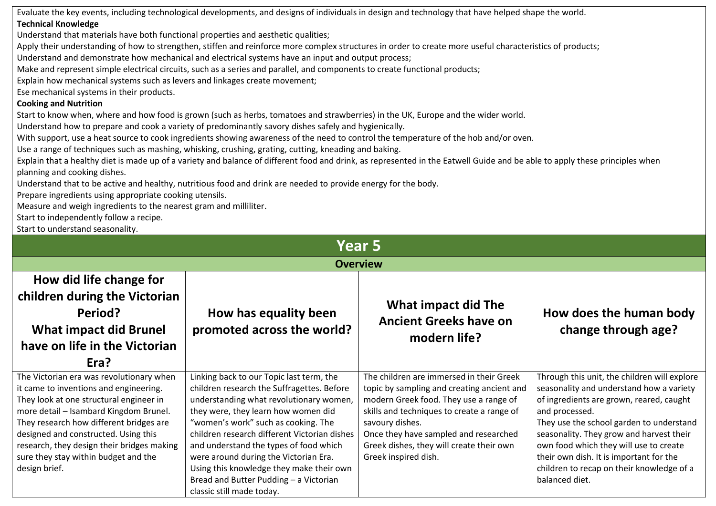Evaluate the key events, including technological developments, and designs of individuals in design and technology that have helped shape the world. **Technical Knowledge**

Understand that materials have both functional properties and aesthetic qualities;

Apply their understanding of how to strengthen, stiffen and reinforce more complex structures in order to create more useful characteristics of products;

Understand and demonstrate how mechanical and electrical systems have an input and output process;

Make and represent simple electrical circuits, such as a series and parallel, and components to create functional products;

Explain how mechanical systems such as levers and linkages create movement;

Ese mechanical systems in their products.

### **Cooking and Nutrition**

Start to know when, where and how food is grown (such as herbs, tomatoes and strawberries) in the UK, Europe and the wider world.

Understand how to prepare and cook a variety of predominantly savory dishes safely and hygienically.

With support, use a heat source to cook ingredients showing awareness of the need to control the temperature of the hob and/or oven.

Use a range of techniques such as mashing, whisking, crushing, grating, cutting, kneading and baking.

Explain that a healthy diet is made up of a variety and balance of different food and drink, as represented in the Eatwell Guide and be able to apply these principles when planning and cooking dishes.

Understand that to be active and healthy, nutritious food and drink are needed to provide energy for the body.

Prepare ingredients using appropriate cooking utensils.

Measure and weigh ingredients to the nearest gram and milliliter.

Start to independently follow a recipe.

Start to understand seasonality.

| <b>Year 5</b>                                                                                                                                                                                                                                                                                                                                                     |                                                                                                                                                                                                                                                                                                                                                                                                                                                                       |                                                                                                                                                                                                                                                                                                                |                                                                                                                                                                                                                                                                                                                                                                                                    |  |
|-------------------------------------------------------------------------------------------------------------------------------------------------------------------------------------------------------------------------------------------------------------------------------------------------------------------------------------------------------------------|-----------------------------------------------------------------------------------------------------------------------------------------------------------------------------------------------------------------------------------------------------------------------------------------------------------------------------------------------------------------------------------------------------------------------------------------------------------------------|----------------------------------------------------------------------------------------------------------------------------------------------------------------------------------------------------------------------------------------------------------------------------------------------------------------|----------------------------------------------------------------------------------------------------------------------------------------------------------------------------------------------------------------------------------------------------------------------------------------------------------------------------------------------------------------------------------------------------|--|
|                                                                                                                                                                                                                                                                                                                                                                   | <b>Overview</b>                                                                                                                                                                                                                                                                                                                                                                                                                                                       |                                                                                                                                                                                                                                                                                                                |                                                                                                                                                                                                                                                                                                                                                                                                    |  |
| How did life change for<br>children during the Victorian<br>Period?<br><b>What impact did Brunel</b><br>have on life in the Victorian<br>Era?                                                                                                                                                                                                                     | How has equality been<br>promoted across the world?                                                                                                                                                                                                                                                                                                                                                                                                                   | What impact did The<br><b>Ancient Greeks have on</b><br>modern life?                                                                                                                                                                                                                                           | How does the human body<br>change through age?                                                                                                                                                                                                                                                                                                                                                     |  |
| The Victorian era was revolutionary when<br>it came to inventions and engineering.<br>They look at one structural engineer in<br>more detail - Isambard Kingdom Brunel.<br>They research how different bridges are<br>designed and constructed. Using this<br>research, they design their bridges making<br>sure they stay within budget and the<br>design brief. | Linking back to our Topic last term, the<br>children research the Suffragettes. Before<br>understanding what revolutionary women,<br>they were, they learn how women did<br>"women's work" such as cooking. The<br>children research different Victorian dishes<br>and understand the types of food which<br>were around during the Victorian Era.<br>Using this knowledge they make their own<br>Bread and Butter Pudding - a Victorian<br>classic still made today. | The children are immersed in their Greek<br>topic by sampling and creating ancient and<br>modern Greek food. They use a range of<br>skills and techniques to create a range of<br>savoury dishes.<br>Once they have sampled and researched<br>Greek dishes, they will create their own<br>Greek inspired dish. | Through this unit, the children will explore<br>seasonality and understand how a variety<br>of ingredients are grown, reared, caught<br>and processed.<br>They use the school garden to understand<br>seasonality. They grow and harvest their<br>own food which they will use to create<br>their own dish. It is important for the<br>children to recap on their knowledge of a<br>balanced diet. |  |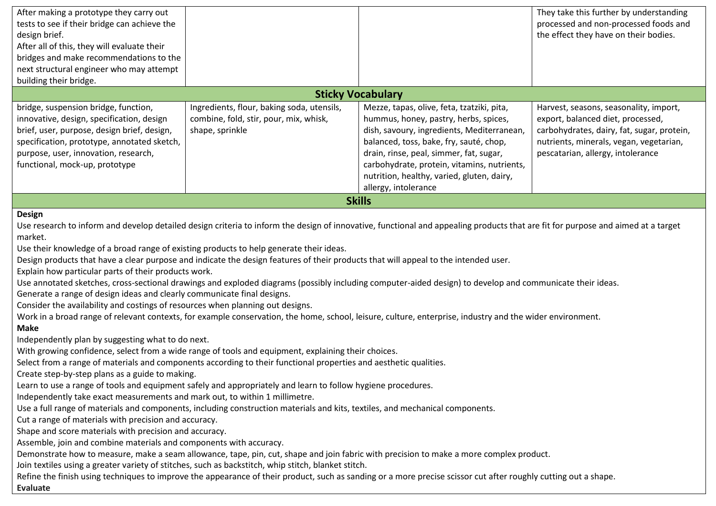| After making a prototype they carry out                                                                                                                   |                                            |                                                                                                                                                                                  | They take this further by understanding    |  |
|-----------------------------------------------------------------------------------------------------------------------------------------------------------|--------------------------------------------|----------------------------------------------------------------------------------------------------------------------------------------------------------------------------------|--------------------------------------------|--|
| tests to see if their bridge can achieve the                                                                                                              |                                            |                                                                                                                                                                                  | processed and non-processed foods and      |  |
| design brief.                                                                                                                                             |                                            |                                                                                                                                                                                  | the effect they have on their bodies.      |  |
| After all of this, they will evaluate their                                                                                                               |                                            |                                                                                                                                                                                  |                                            |  |
| bridges and make recommendations to the                                                                                                                   |                                            |                                                                                                                                                                                  |                                            |  |
| next structural engineer who may attempt                                                                                                                  |                                            |                                                                                                                                                                                  |                                            |  |
| building their bridge.                                                                                                                                    |                                            |                                                                                                                                                                                  |                                            |  |
|                                                                                                                                                           |                                            | <b>Sticky Vocabulary</b>                                                                                                                                                         |                                            |  |
| bridge, suspension bridge, function,                                                                                                                      | Ingredients, flour, baking soda, utensils, | Mezze, tapas, olive, feta, tzatziki, pita,                                                                                                                                       | Harvest, seasons, seasonality, import,     |  |
| innovative, design, specification, design                                                                                                                 | combine, fold, stir, pour, mix, whisk,     | hummus, honey, pastry, herbs, spices,                                                                                                                                            | export, balanced diet, processed,          |  |
| brief, user, purpose, design brief, design,                                                                                                               | shape, sprinkle                            | dish, savoury, ingredients, Mediterranean,                                                                                                                                       | carbohydrates, dairy, fat, sugar, protein, |  |
| specification, prototype, annotated sketch,                                                                                                               |                                            | balanced, toss, bake, fry, sauté, chop,                                                                                                                                          | nutrients, minerals, vegan, vegetarian,    |  |
| purpose, user, innovation, research,                                                                                                                      |                                            | drain, rinse, peal, simmer, fat, sugar,                                                                                                                                          | pescatarian, allergy, intolerance          |  |
| functional, mock-up, prototype                                                                                                                            |                                            | carbohydrate, protein, vitamins, nutrients,                                                                                                                                      |                                            |  |
|                                                                                                                                                           |                                            | nutrition, healthy, varied, gluten, dairy,                                                                                                                                       |                                            |  |
|                                                                                                                                                           |                                            | allergy, intolerance                                                                                                                                                             |                                            |  |
| <b>Skills</b>                                                                                                                                             |                                            |                                                                                                                                                                                  |                                            |  |
| <b>Design</b>                                                                                                                                             |                                            |                                                                                                                                                                                  |                                            |  |
|                                                                                                                                                           |                                            | Use research to inform and develop detailed design criteria to inform the design of innovative, functional and appealing products that are fit for purpose and aimed at a target |                                            |  |
| market.                                                                                                                                                   |                                            |                                                                                                                                                                                  |                                            |  |
| Use their knowledge of a broad range of existing products to help generate their ideas.                                                                   |                                            |                                                                                                                                                                                  |                                            |  |
| Design products that have a clear purpose and indicate the design features of their products that will appeal to the intended user.                       |                                            |                                                                                                                                                                                  |                                            |  |
| Explain how particular parts of their products work.                                                                                                      |                                            |                                                                                                                                                                                  |                                            |  |
|                                                                                                                                                           |                                            | Use annotated sketches, cross-sectional drawings and exploded diagrams (possibly including computer-aided design) to develop and communicate their ideas.                        |                                            |  |
| Generate a range of design ideas and clearly communicate final designs.                                                                                   |                                            |                                                                                                                                                                                  |                                            |  |
| Consider the availability and costings of resources when planning out designs.                                                                            |                                            |                                                                                                                                                                                  |                                            |  |
| Work in a broad range of relevant contexts, for example conservation, the home, school, leisure, culture, enterprise, industry and the wider environment. |                                            |                                                                                                                                                                                  |                                            |  |

#### **Make**

Independently plan by suggesting what to do next.

With growing confidence, select from a wide range of tools and equipment, explaining their choices.

Select from a range of materials and components according to their functional properties and aesthetic qualities.

Create step-by-step plans as a guide to making.

Learn to use a range of tools and equipment safely and appropriately and learn to follow hygiene procedures.

Independently take exact measurements and mark out, to within 1 millimetre.

Use a full range of materials and components, including construction materials and kits, textiles, and mechanical components.

Cut a range of materials with precision and accuracy.

Shape and score materials with precision and accuracy.

Assemble, join and combine materials and components with accuracy.

Demonstrate how to measure, make a seam allowance, tape, pin, cut, shape and join fabric with precision to make a more complex product.

Join textiles using a greater variety of stitches, such as backstitch, whip stitch, blanket stitch.

Refine the finish using techniques to improve the appearance of their product, such as sanding or a more precise scissor cut after roughly cutting out a shape. **Evaluate**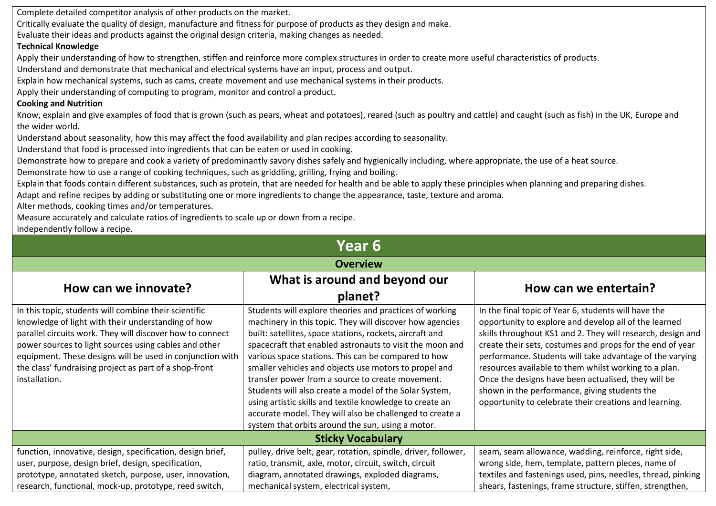Complete detailed competitor analysis of other products on the market.

Critically evaluate the quality of design, manufacture and fitness for purpose of products as they design and make.

Evaluate their ideas and products against the original design criteria, making changes as needed.

### **Technical Knowledge**

Apply their understanding of how to strengthen, stiffen and reinforce more complex structures in order to create more useful characteristics of products.

Understand and demonstrate that mechanical and electrical systems have an input, process and output.

Explain how mechanical systems, such as cams, create movement and use mechanical systems in their products.

Apply their understanding of computing to program, monitor and control a product.

# **Cooking and Nutrition**

Know, explain and give examples of food that is grown (such as pears, wheat and potatoes), reared (such as poultry and cattle) and caught (such as fish) in the UK, Europe and the wider world.

Understand about seasonality, how this may affect the food availability and plan recipes according to seasonality.

Understand that food is processed into ingredients that can be eaten or used in cooking.

Demonstrate how to prepare and cook a variety of predominantly savory dishes safely and hygienically including, where appropriate, the use of a heat source.

Demonstrate how to use a range of cooking techniques, such as griddling, grilling, frying and boiling.

Explain that foods contain different substances, such as protein, that are needed for health and be able to apply these principles when planning and preparing dishes.

Adapt and refine recipes by adding or substituting one or more ingredients to change the appearance, taste, texture and aroma.

Alter methods, cooking times and/or temperatures.

Measure accurately and calculate ratios of ingredients to scale up or down from a recipe.

Independently follow a recipe.

| Year 6                                                                                                                                                                                                                                                                                                                                                                    |                                                                                                                                                                                                                                                                                                                                                                                                                                                                                                                                                                                                                                                        |                                                                                                                                                                                                                                                                                                                                                                                                                                                                                                                                  |  |
|---------------------------------------------------------------------------------------------------------------------------------------------------------------------------------------------------------------------------------------------------------------------------------------------------------------------------------------------------------------------------|--------------------------------------------------------------------------------------------------------------------------------------------------------------------------------------------------------------------------------------------------------------------------------------------------------------------------------------------------------------------------------------------------------------------------------------------------------------------------------------------------------------------------------------------------------------------------------------------------------------------------------------------------------|----------------------------------------------------------------------------------------------------------------------------------------------------------------------------------------------------------------------------------------------------------------------------------------------------------------------------------------------------------------------------------------------------------------------------------------------------------------------------------------------------------------------------------|--|
|                                                                                                                                                                                                                                                                                                                                                                           | <b>Overview</b>                                                                                                                                                                                                                                                                                                                                                                                                                                                                                                                                                                                                                                        |                                                                                                                                                                                                                                                                                                                                                                                                                                                                                                                                  |  |
| How can we innovate?                                                                                                                                                                                                                                                                                                                                                      | What is around and beyond our<br>planet?                                                                                                                                                                                                                                                                                                                                                                                                                                                                                                                                                                                                               | How can we entertain?                                                                                                                                                                                                                                                                                                                                                                                                                                                                                                            |  |
| In this topic, students will combine their scientific<br>knowledge of light with their understanding of how<br>parallel circuits work. They will discover how to connect<br>power sources to light sources using cables and other<br>equipment. These designs will be used in conjunction with<br>the class' fundraising project as part of a shop-front<br>installation. | Students will explore theories and practices of working<br>machinery in this topic. They will discover how agencies<br>built: satellites, space stations, rockets, aircraft and<br>spacecraft that enabled astronauts to visit the moon and<br>various space stations. This can be compared to how<br>smaller vehicles and objects use motors to propel and<br>transfer power from a source to create movement.<br>Students will also create a model of the Solar System,<br>using artistic skills and textile knowledge to create an<br>accurate model. They will also be challenged to create a<br>system that orbits around the sun, using a motor. | In the final topic of Year 6, students will have the<br>opportunity to explore and develop all of the learned<br>skills throughout KS1 and 2. They will research, design and<br>create their sets, costumes and props for the end of year<br>performance. Students will take advantage of the varying<br>resources available to them whilst working to a plan.<br>Once the designs have been actualised, they will be<br>shown in the performance, giving students the<br>opportunity to celebrate their creations and learning. |  |
|                                                                                                                                                                                                                                                                                                                                                                           | <b>Sticky Vocabulary</b>                                                                                                                                                                                                                                                                                                                                                                                                                                                                                                                                                                                                                               |                                                                                                                                                                                                                                                                                                                                                                                                                                                                                                                                  |  |
| function, innovative, design, specification, design brief,<br>user, purpose, design brief, design, specification,<br>prototype, annotated sketch, purpose, user, innovation,<br>research, functional, mock-up, prototype, reed switch,                                                                                                                                    | pulley, drive belt, gear, rotation, spindle, driver, follower,<br>ratio, transmit, axle, motor, circuit, switch, circuit<br>diagram, annotated drawings, exploded diagrams,<br>mechanical system, electrical system,                                                                                                                                                                                                                                                                                                                                                                                                                                   | seam, seam allowance, wadding, reinforce, right side,<br>wrong side, hem, template, pattern pieces, name of<br>textiles and fastenings used, pins, needles, thread, pinking<br>shears, fastenings, frame structure, stiffen, strengthen,                                                                                                                                                                                                                                                                                         |  |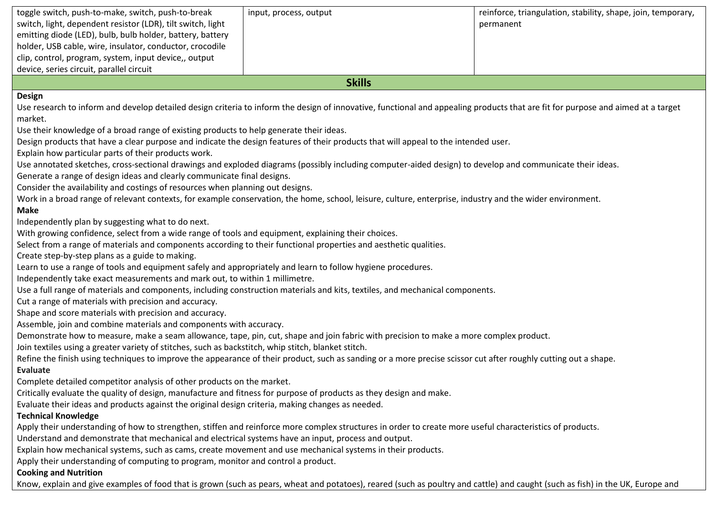|                                                                                                                                                                                                                                                                                                                                                                                                                                                                                                                                                                                                                                                                                                                                                | toggle switch, push-to-make, switch, push-to-break<br>switch, light, dependent resistor (LDR), tilt switch, light<br>emitting diode (LED), bulb, bulb holder, battery, battery<br>holder, USB cable, wire, insulator, conductor, crocodile<br>clip, control, program, system, input device,, output<br>device, series circuit, parallel circuit | input, process, output | reinforce, triangulation, stability, shape, join, temporary,<br>permanent |
|------------------------------------------------------------------------------------------------------------------------------------------------------------------------------------------------------------------------------------------------------------------------------------------------------------------------------------------------------------------------------------------------------------------------------------------------------------------------------------------------------------------------------------------------------------------------------------------------------------------------------------------------------------------------------------------------------------------------------------------------|-------------------------------------------------------------------------------------------------------------------------------------------------------------------------------------------------------------------------------------------------------------------------------------------------------------------------------------------------|------------------------|---------------------------------------------------------------------------|
|                                                                                                                                                                                                                                                                                                                                                                                                                                                                                                                                                                                                                                                                                                                                                |                                                                                                                                                                                                                                                                                                                                                 | <b>Skills</b>          |                                                                           |
| <b>Design</b><br>Use research to inform and develop detailed design criteria to inform the design of innovative, functional and appealing products that are fit for purpose and aimed at a target<br>market.<br>Use their knowledge of a broad range of existing products to help generate their ideas.<br>Design products that have a clear purpose and indicate the design features of their products that will appeal to the intended user.<br>Explain how particular parts of their products work.<br>Use annotated sketches, cross-sectional drawings and exploded diagrams (possibly including computer-aided design) to develop and communicate their ideas.<br>Generate a range of design ideas and clearly communicate final designs. |                                                                                                                                                                                                                                                                                                                                                 |                        |                                                                           |
| Consider the availability and costings of resources when planning out designs.<br>Work in a broad range of relevant contexts, for example conservation, the home, school, leisure, culture, enterprise, industry and the wider environment.<br><b>Make</b><br>Independently plan by suggesting what to do next.<br>With growing confidence, select from a wide range of tools and equipment, explaining their choices.                                                                                                                                                                                                                                                                                                                         |                                                                                                                                                                                                                                                                                                                                                 |                        |                                                                           |
| Select from a range of materials and components according to their functional properties and aesthetic qualities.<br>Create step-by-step plans as a guide to making.<br>Learn to use a range of tools and equipment safely and appropriately and learn to follow hygiene procedures.<br>Independently take exact measurements and mark out, to within 1 millimetre.<br>Use a full range of materials and components, including construction materials and kits, textiles, and mechanical components.<br>Cut a range of materials with precision and accuracy.                                                                                                                                                                                  |                                                                                                                                                                                                                                                                                                                                                 |                        |                                                                           |
|                                                                                                                                                                                                                                                                                                                                                                                                                                                                                                                                                                                                                                                                                                                                                | Shape and score materials with precision and accuracy.                                                                                                                                                                                                                                                                                          |                        |                                                                           |

Assemble, join and combine materials and components with accuracy.

Demonstrate how to measure, make a seam allowance, tape, pin, cut, shape and join fabric with precision to make a more complex product.

Join textiles using a greater variety of stitches, such as backstitch, whip stitch, blanket stitch.

Refine the finish using techniques to improve the appearance of their product, such as sanding or a more precise scissor cut after roughly cutting out a shape. **Evaluate**

Complete detailed competitor analysis of other products on the market.

Critically evaluate the quality of design, manufacture and fitness for purpose of products as they design and make.

Evaluate their ideas and products against the original design criteria, making changes as needed.

# **Technical Knowledge**

Apply their understanding of how to strengthen, stiffen and reinforce more complex structures in order to create more useful characteristics of products.

Understand and demonstrate that mechanical and electrical systems have an input, process and output.

Explain how mechanical systems, such as cams, create movement and use mechanical systems in their products.

Apply their understanding of computing to program, monitor and control a product.

# **Cooking and Nutrition**

Know, explain and give examples of food that is grown (such as pears, wheat and potatoes), reared (such as poultry and cattle) and caught (such as fish) in the UK, Europe and